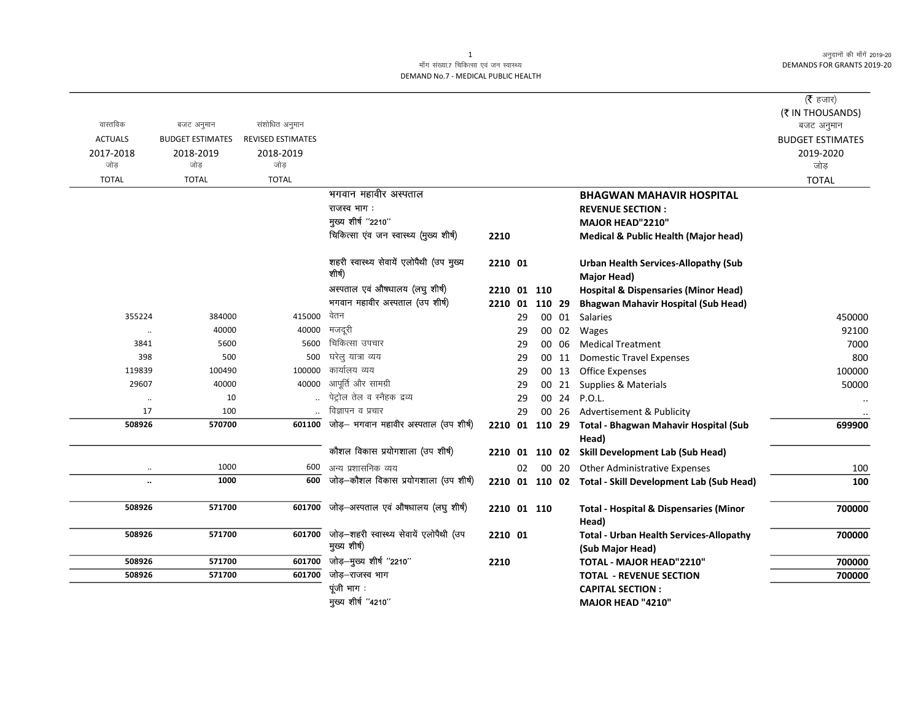अनुदानों की माँगें 2019-20 DEMANDS FOR GRANTS 2019-20

## माँग संख्या.7 चिकित्सा एवं जन स्वास्थ्य DEMAND No.7 - MEDICAL PUBLIC HEALTH

|                |                         |                          |                                                                |                |    |           |       |                                                                    | (रै हजार)<br>(₹ IN THOUSANDS) |
|----------------|-------------------------|--------------------------|----------------------------------------------------------------|----------------|----|-----------|-------|--------------------------------------------------------------------|-------------------------------|
| वास्तविक       | बजट अनुमान              | संशोधित अनुमान           |                                                                |                |    |           |       |                                                                    | बजट अनुमान                    |
| <b>ACTUALS</b> | <b>BUDGET ESTIMATES</b> | <b>REVISED ESTIMATES</b> |                                                                |                |    |           |       |                                                                    | <b>BUDGET ESTIMATES</b>       |
| 2017-2018      | 2018-2019               | 2018-2019                |                                                                |                |    |           |       |                                                                    | 2019-2020                     |
| जोड            | जोड                     | जोड                      |                                                                |                |    |           |       |                                                                    | जोड                           |
| <b>TOTAL</b>   | <b>TOTAL</b>            | <b>TOTAL</b>             |                                                                |                |    |           |       |                                                                    | <b>TOTAL</b>                  |
|                |                         |                          | भगवान महावीर अस्पताल                                           |                |    |           |       | <b>BHAGWAN MAHAVIR HOSPITAL</b>                                    |                               |
|                |                         |                          | राजस्व भाग :                                                   |                |    |           |       | <b>REVENUE SECTION:</b>                                            |                               |
|                |                         |                          | मुख्य शीर्ष "2210"                                             |                |    |           |       | <b>MAJOR HEAD"2210"</b>                                            |                               |
|                |                         |                          | चिकित्सा एंव जन स्वास्थ्य (मुख्य शीर्ष)                        | 2210           |    |           |       | <b>Medical &amp; Public Health (Major head)</b>                    |                               |
|                |                         |                          | शहरी स्वास्थ्य सेवायें एलोपैथी (उप मुख्य<br>शीर्ष)             | 2210 01        |    |           |       | <b>Urban Health Services-Allopathy (Sub</b><br><b>Major Head)</b>  |                               |
|                |                         |                          | अस्पताल एवं औषधालय (लघु शीर्ष)                                 | 2210 01 110    |    |           |       | <b>Hospital &amp; Dispensaries (Minor Head)</b>                    |                               |
|                |                         |                          | भगवान महावीर अस्पताल (उप शीर्ष)                                | 2210 01        |    | 110 29    |       | <b>Bhagwan Mahavir Hospital (Sub Head)</b>                         |                               |
| 355224         | 384000                  | 415000                   | वेतन                                                           |                | 29 |           | 00 01 | Salaries                                                           | 450000                        |
| $\ddotsc$      | 40000                   | 40000                    | मजदूरी                                                         |                | 29 |           | 00 02 | Wages                                                              | 92100                         |
| 3841           | 5600                    | 5600                     | चिकित्सा उपचार                                                 |                | 29 |           | 00 06 | <b>Medical Treatment</b>                                           | 7000                          |
| 398            | 500                     | 500                      | घरेलु यात्रा व्यय                                              |                | 29 |           | 00 11 | <b>Domestic Travel Expenses</b>                                    | 800                           |
| 119839         | 100490                  | 100000                   | कार्यालय व्यय                                                  |                | 29 |           | 00 13 | <b>Office Expenses</b>                                             | 100000                        |
| 29607          | 40000                   | 40000                    | आपूर्ति और सामग्री                                             |                | 29 |           | 00 21 | Supplies & Materials                                               | 50000                         |
| $\ddotsc$      | 10                      |                          | पेट्रोल तेल व स्नैहक द्रव्य                                    |                | 29 |           |       | 00 24 P.O.L.                                                       |                               |
| 17             | 100                     |                          | विज्ञापन व प्रचार                                              |                | 29 |           | 00 26 | Advertisement & Publicity                                          |                               |
| 508926         | 570700                  | 601100                   | जोड़- भगवान महावीर अस्पताल (उप शीर्ष)                          | 2210 01 110 29 |    |           |       | Total - Bhagwan Mahavir Hospital (Sub                              | 699900                        |
|                |                         |                          | कौशल विकास प्रयोगशाला (उप शीर्ष)                               |                |    |           |       | Head)                                                              |                               |
|                |                         |                          |                                                                | 2210           |    | 01 110 02 |       | <b>Skill Development Lab (Sub Head)</b>                            |                               |
| $\ldots$       | 1000                    | 600                      | अन्य प्रशासनिक व्यय                                            |                | 02 |           |       | 00 20 Other Administrative Expenses                                | 100                           |
| $\ddotsc$      | 1000                    | 600                      | जोड़-कौशल विकास प्रयोगशाला (उप शीर्ष)                          |                |    |           |       | 2210 01 110 02 Total - Skill Development Lab (Sub Head)            | 100                           |
| 508926         | 571700                  | 601700                   | जोड़–अस्पताल एवं औषधालय (लघु शीर्ष)                            | 2210 01 110    |    |           |       | <b>Total - Hospital &amp; Dispensaries (Minor</b><br>Head)         | 700000                        |
| 508926         | 571700                  |                          | 601700 जोड़-शहरी स्वास्थ्य सेवायें एलोपैथी (उप<br>मुख्य शीर्ष) | 2210 01        |    |           |       | <b>Total - Urban Health Services-Allopathy</b><br>(Sub Major Head) | 700000                        |
| 508926         | 571700                  |                          | 601700 जोड़-मुख्य शीर्ष "2210"                                 | 2210           |    |           |       | TOTAL - MAJOR HEAD"2210"                                           | 700000                        |
| 508926         | 571700                  | 601700                   | जोड़–राजस्व भाग                                                |                |    |           |       | <b>TOTAL - REVENUE SECTION</b>                                     | 700000                        |
|                |                         |                          | पूंजी भाग:                                                     |                |    |           |       | <b>CAPITAL SECTION:</b>                                            |                               |
|                |                         |                          | मुख्य शीर्ष "4210"                                             |                |    |           |       | MAJOR HEAD "4210"                                                  |                               |

1